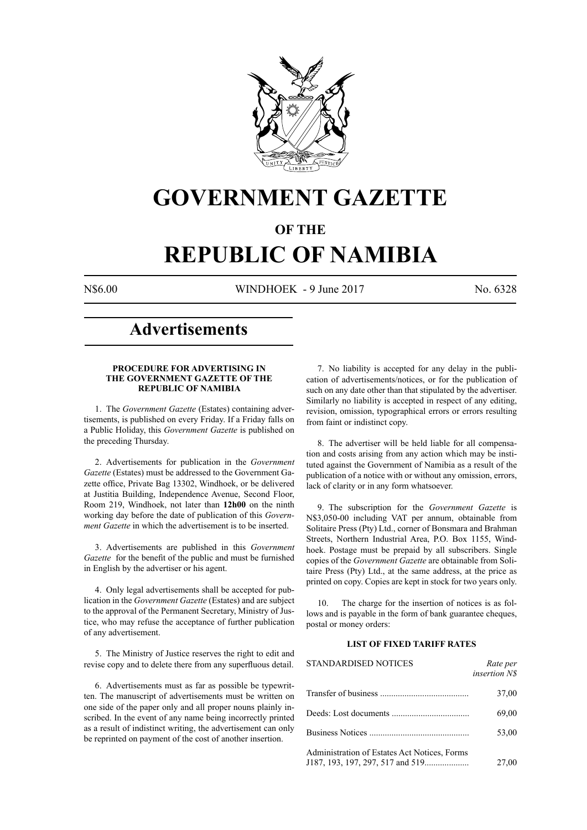

## **GOVERNMENT GAZETTE**

### **OF THE**

# **REPUBLIC OF NAMIBIA**

N\$6.00 WINDHOEK - 9 June 2017 No. 6328

### **Advertisements**

#### **PROCEDURE FOR ADVERTISING IN THE GOVERNMENT GAZETTE OF THE REPUBLIC OF NAMIBIA**

1. The *Government Gazette* (Estates) containing advertisements, is published on every Friday. If a Friday falls on a Public Holiday, this *Government Gazette* is published on the preceding Thursday.

2. Advertisements for publication in the *Government Gazette* (Estates) must be addressed to the Government Gazette office, Private Bag 13302, Windhoek, or be delivered at Justitia Building, Independence Avenue, Second Floor, Room 219, Windhoek, not later than **12h00** on the ninth working day before the date of publication of this *Government Gazette* in which the advertisement is to be inserted.

3. Advertisements are published in this *Government Gazette* for the benefit of the public and must be furnished in English by the advertiser or his agent.

4. Only legal advertisements shall be accepted for publication in the *Government Gazette* (Estates) and are subject to the approval of the Permanent Secretary, Ministry of Justice, who may refuse the acceptance of further publication of any advertisement.

5. The Ministry of Justice reserves the right to edit and revise copy and to delete there from any superfluous detail.

6. Advertisements must as far as possible be typewritten. The manuscript of advertisements must be written on one side of the paper only and all proper nouns plainly inscribed. In the event of any name being incorrectly printed as a result of indistinct writing, the advertisement can only be reprinted on payment of the cost of another insertion.

7. No liability is accepted for any delay in the publication of advertisements/notices, or for the publication of such on any date other than that stipulated by the advertiser. Similarly no liability is accepted in respect of any editing, revision, omission, typographical errors or errors resulting from faint or indistinct copy.

8. The advertiser will be held liable for all compensation and costs arising from any action which may be instituted against the Government of Namibia as a result of the publication of a notice with or without any omission, errors, lack of clarity or in any form whatsoever.

9. The subscription for the *Government Gazette* is N\$3,050-00 including VAT per annum, obtainable from Solitaire Press (Pty) Ltd., corner of Bonsmara and Brahman Streets, Northern Industrial Area, P.O. Box 1155, Windhoek. Postage must be prepaid by all subscribers. Single copies of the *Government Gazette* are obtainable from Solitaire Press (Pty) Ltd., at the same address, at the price as printed on copy. Copies are kept in stock for two years only.

10. The charge for the insertion of notices is as follows and is payable in the form of bank guarantee cheques, postal or money orders:

#### **LIST OF FIXED TARIFF RATES**

| <b>STANDARDISED NOTICES</b>                  | Rate per<br><i>insertion NS</i> |
|----------------------------------------------|---------------------------------|
|                                              | 37,00                           |
|                                              | 69,00                           |
|                                              | 53,00                           |
| Administration of Estates Act Notices, Forms | 27,00                           |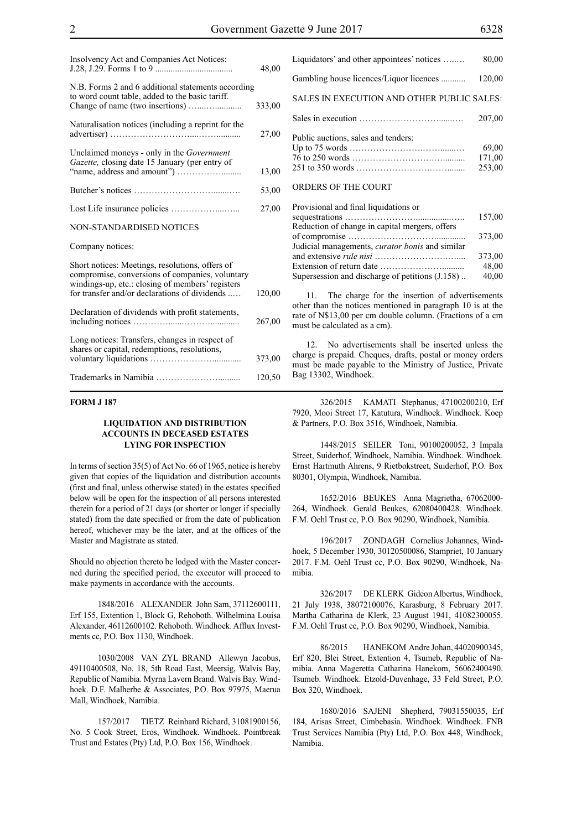| Insolvency Act and Companies Act Notices:                                                                                                                                                               | 48,00  |
|---------------------------------------------------------------------------------------------------------------------------------------------------------------------------------------------------------|--------|
| N.B. Forms 2 and 6 additional statements according<br>to word count table, added to the basic tariff.                                                                                                   | 333,00 |
| Naturalisation notices (including a reprint for the                                                                                                                                                     | 27,00  |
| Unclaimed moneys - only in the Government<br>Gazette, closing date 15 January (per entry of                                                                                                             | 13,00  |
|                                                                                                                                                                                                         | 53,00  |
|                                                                                                                                                                                                         | 27,00  |
| NON-STANDARDISED NOTICES                                                                                                                                                                                |        |
| Company notices:                                                                                                                                                                                        |        |
| Short notices: Meetings, resolutions, offers of<br>compromise, conversions of companies, voluntary<br>windings-up, etc.: closing of members' registers<br>for transfer and/or declarations of dividends | 120,00 |
| Declaration of dividends with profit statements,                                                                                                                                                        | 267,00 |
| Long notices: Transfers, changes in respect of<br>shares or capital, redemptions, resolutions,                                                                                                          | 373,00 |
|                                                                                                                                                                                                         | 120,50 |

#### **FORM J 187**

#### **LIQUIDATION AND DISTRIBUTION ACCOUNTS IN DECEASED ESTATES LYING FOR INSPECTION**

In terms of section 35(5) of Act No. 66 of 1965, notice is hereby given that copies of the liquidation and distribution accounts (first and final, unless otherwise stated) in the estates specified below will be open for the inspection of all persons interested therein for a period of 21 days (or shorter or longer if specially stated) from the date specified or from the date of publication hereof, whichever may be the later, and at the offices of the Master and Magistrate as stated.

Should no objection thereto be lodged with the Master concerned during the specified period, the executor will proceed to make payments in accordance with the accounts.

1848/2016 ALEXANDER John Sam, 37112600111, Erf 155, Extention 1, Block G, Rehoboth. Wilhelmina Louisa Alexander, 46112600102. Rehoboth. Windhoek. Afflux Investments cc, P.O. Box 1130, Windhoek.

1030/2008 VAN ZYL BRAND Allewyn Jacobus, 49110400508, No. 18, 5th Road East, Meersig, Walvis Bay, Republic of Namibia. Myrna Lavern Brand. Walvis Bay. Windhoek. D.F. Malherbe & Associates, P.O. Box 97975, Maerua Mall, Windhoek, Namibia.

157/2017 TIETZ Reinhard Richard, 31081900156, No. 5 Cook Street, Eros, Windhoek. Windhoek. Pointbreak Trust and Estates (Pty) Ltd, P.O. Box 156, Windhoek.

Up to 75 words …………………….…….......… 69,00 76 to 250 words ……………………….….......... 171,00 251 to 350 words …………………….……........ 253,00

#### ORDERS OF THE COURT

| Provisional and final liquidations or                                |        |
|----------------------------------------------------------------------|--------|
|                                                                      | 157,00 |
| Reduction of change in capital mergers, offers                       |        |
|                                                                      | 373.00 |
| Judicial managements, <i>curator bonis</i> and similar               |        |
|                                                                      | 373,00 |
| Extension of return date $\dots \dots \dots \dots \dots \dots \dots$ | 48,00  |
| Supersession and discharge of petitions (J.158)                      | 40,00  |
|                                                                      |        |

The charge for the insertion of advertisements other than the notices mentioned in paragraph 10 is at the rate of N\$13,00 per cm double column. (Fractions of a cm must be calculated as a cm).

12. No advertisements shall be inserted unless the charge is prepaid. Cheques, drafts, postal or money orders must be made payable to the Ministry of Justice, Private Bag 13302, Windhoek.

326/2015 KAMATI Stephanus, 47100200210, Erf 7920, Mooi Street 17, Katutura, Windhoek. Windhoek. Koep & Partners, P.O. Box 3516, Windhoek, Namibia.

1448/2015 SEILER Toni, 90100200052, 3 Impala Street, Suiderhof, Windhoek, Namibia. Windhoek. Windhoek. Ernst Hartmuth Ahrens, 9 Rietbokstreet, Suiderhof, p.o. Box 80301, Olympia, Windhoek, Namibia.

1652/2016 BEUKES Anna Magrietha, 67062000- 264, Windhoek. Gerald Beukes, 62080400428. Windhoek. F.M. Oehl Trust cc, P.O. Box 90290, Windhoek, Namibia.

196/2017 ZONDAGH Cornelius Johannes, Windhoek, 5 December 1930, 30120500086, Stampriet, 10 January 2017. F.M. Oehl Trust cc, P.O. Box 90290, Windhoek, Namibia.

326/2017 DE KLERK Gideon Albertus, Windhoek, 21 July 1938, 38072100076, Karasburg, 8 February 2017. Martha Catharina de Klerk, 23 August 1941, 41082300055. F.M. Oehl Trust cc, P.O. Box 90290, Windhoek, Namibia.

86/2015 HANEKOM Andre Johan, 44020900345, Erf 820, Blei Street, Extention 4, Tsumeb, Republic of Namibia. Anna Mageretta Catharina Hanekom, 56062400490. Tsumeb. Windhoek. Etzold-Duvenhage, 33 Feld Street, P.O. Box 320, Windhoek.

1680/2016 SAJENI Shepherd, 79031550035, Erf 184, Arisas Street, Cimbebasia. Windhoek. Windhoek. FNB Trust Services Namibia (Pty) Ltd, P.O. Box 448, Windhoek, Namibia.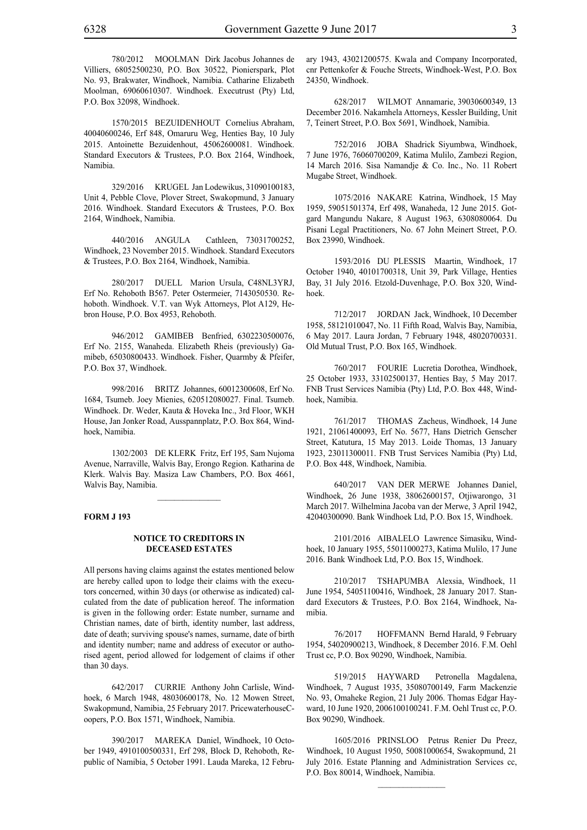780/2012 MOOLMAN Dirk Jacobus Johannes de Villiers, 68052500230, P.O. Box 30522, Pionierspark, Plot No. 93, Brakwater, Windhoek, Namibia. Catharine Elizabeth Moolman, 69060610307. Windhoek. Executrust (Pty) Ltd, P.O. Box 32098, Windhoek.

1570/2015 BEZUIDENHOUT Cornelius Abraham, 40040600246, Erf 848, Omaruru Weg, Henties Bay, 10 July 2015. Antoinette Bezuidenhout, 45062600081. Windhoek. Standard Executors & Trustees, P.O. Box 2164, Windhoek, Namibia.

329/2016 KRUGEL Jan Lodewikus, 31090100183, Unit 4, Pebble Clove, Plover Street, Swakopmund, 3 January 2016. Windhoek. Standard Executors & Trustees, P.O. Box 2164, Windhoek, Namibia.

440/2016 ANGULA Cathleen, 73031700252, Windhoek, 23 November 2015. Windhoek. Standard Executors & Trustees, P.O. Box 2164, Windhoek, Namibia.

280/2017 DUELL Marion Ursula, C48NL3YRJ, Erf No. Rehoboth B567. Peter Ostermeier, 7143050530. Rehoboth. Windhoek. V.T. van Wyk Attorneys, Plot A129, Hebron House, P.O. Box 4953, Rehoboth.

946/2012 GAMIBEB Benfried, 6302230500076, Erf No. 2155, Wanaheda. Elizabeth Rheis (previously) Gamibeb, 65030800433. Windhoek. Fisher, Quarmby & Pfeifer, P.O. Box 37, Windhoek.

998/2016 BRITZ Johannes, 60012300608, Erf No. 1684, Tsumeb. Joey Mienies, 620512080027. Final. Tsumeb. Windhoek. Dr. Weder, Kauta & Hoveka Inc., 3rd Floor, WKH House, Jan Jonker Road, Ausspannplatz, P.O. Box 864, Windhoek, Namibia.

1302/2003 DE KLERK Fritz, Erf 195, Sam Nujoma Avenue, Narraville, Walvis Bay, Erongo Region. Katharina de Klerk. Walvis Bay. Masiza Law Chambers, P.O. Box 4661, Walvis Bay, Namibia.

#### **FORM J 193**

#### **NOTICE TO CREDITORS IN DECEASED ESTATES**

All persons having claims against the estates mentioned below are hereby called upon to lodge their claims with the executors concerned, within 30 days (or otherwise as indicated) calculated from the date of publication hereof. The information is given in the following order: Estate number, surname and Christian names, date of birth, identity number, last address, date of death; surviving spouse's names, surname, date of birth and identity number; name and address of executor or authorised agent, period allowed for lodgement of claims if other than 30 days.

642/2017 CURRIE Anthony John Carlisle, Windhoek, 6 March 1948, 48030600178, No. 12 Mowen Street, Swakopmund, Namibia, 25 February 2017. PricewaterhouseCoopers, P.O. Box 1571, Windhoek, Namibia.

390/2017 MAREKA Daniel, Windhoek, 10 October 1949, 4910100500331, Erf 298, Block D, Rehoboth, Republic of Namibia, 5 October 1991. Lauda Mareka, 12 February 1943, 43021200575. Kwala and Company Incorporated, cnr Pettenkofer & Fouche Streets, Windhoek-West, P.O. Box 24350, Windhoek.

628/2017 WILMOT Annamarie, 39030600349, 13 December 2016. Nakamhela Attorneys, Kessler Building, Unit 7, Teinert Street, P.O. Box 5691, Windhoek, Namibia.

752/2016 JOBA Shadrick Siyumbwa, Windhoek, 7 June 1976, 76060700209, Katima Mulilo, Zambezi Region, 14 March 2016. Sisa Namandje & Co. Inc., No. 11 Robert Mugabe Street, Windhoek.

1075/2016 NAKARE Katrina, Windhoek, 15 May 1959, 59051501374, Erf 498, Wanaheda, 12 June 2015. Gotgard Mangundu Nakare, 8 August 1963, 6308080064. Du Pisani Legal Practitioners, No. 67 John Meinert Street, P.O. Box 23990, Windhoek.

1593/2016 DU PLESSIS Maartin, Windhoek, 17 October 1940, 40101700318, Unit 39, Park Village, Henties Bay, 31 July 2016. Etzold-Duvenhage, P.O. Box 320, Windhoek.

712/2017 JORDAN Jack, Windhoek, 10 December 1958, 58121010047, No. 11 Fifth Road, Walvis Bay, Namibia, 6 May 2017. Laura Jordan, 7 February 1948, 48020700331. Old Mutual Trust, P.O. Box 165, Windhoek.

760/2017 FOURIE Lucretia Dorothea, Windhoek, 25 October 1933, 33102500137, Henties Bay, 5 May 2017. FNB Trust Services Namibia (Pty) Ltd, P.O. Box 448, Windhoek, Namibia.

761/2017 THOMAS Zacheus, Windhoek, 14 June 1921, 21061400093, Erf No. 5677, Hans Dietrich Genscher Street, Katutura, 15 May 2013. Loide Thomas, 13 January 1923, 23011300011. FNB Trust Services Namibia (Pty) Ltd, P.O. Box 448, Windhoek, Namibia.

640/2017 VAN DER MERWE Johannes Daniel, Windhoek, 26 June 1938, 38062600157, Otjiwarongo, 31 March 2017. Wilhelmina Jacoba van der Merwe, 3 April 1942, 42040300090. Bank Windhoek Ltd, P.O. Box 15, Windhoek.

2101/2016 AIBALELO Lawrence Simasiku, Windhoek, 10 January 1955, 55011000273, Katima Mulilo, 17 June 2016. Bank Windhoek Ltd, P.O. Box 15, Windhoek.

210/2017 TSHAPUMBA Alexsia, Windhoek, 11 June 1954, 54051100416, Windhoek, 28 January 2017. Standard Executors & Trustees, P.O. Box 2164, Windhoek, Namibia.

76/2017 HOFFMANN Bernd Harald, 9 February 1954, 54020900213, Windhoek, 8 December 2016. F.M. Oehl Trust cc, P.O. Box 90290, Windhoek, Namibia.

519/2015 HAYWARD Petronella Magdalena, Windhoek, 7 August 1935, 35080700149, Farm Mackenzie No. 93, Omaheke Region, 21 July 2006. Thomas Edgar Hayward, 10 June 1920, 2006100100241. F.M. Oehl Trust cc, P.O. Box 90290, Windhoek.

1605/2016 PRINSLOO Petrus Renier Du Preez, Windhoek, 10 August 1950, 50081000654, Swakopmund, 21 July 2016. Estate Planning and Administration Services cc, P.O. Box 80014, Windhoek, Namibia.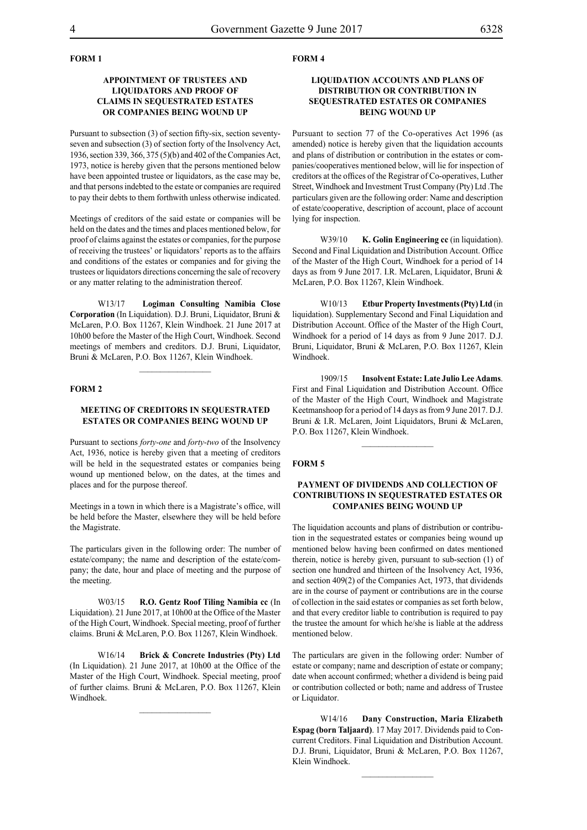#### **FORM 1**

#### **APPOINTMENT OF TRUSTEES AND LIQUIDATORS AND PROOF OF CLAIMS IN SEQUESTRATED ESTATES OR COMPANIES BEING WOUND UP**

Pursuant to subsection (3) of section fifty-six, section seventyseven and subsection (3) of section forty of the Insolvency Act, 1936, section 339, 366, 375 (5)(b) and 402 of the Companies Act, 1973, notice is hereby given that the persons mentioned below have been appointed trustee or liquidators, as the case may be, and that persons indebted to the estate or companies are required to pay their debts to them forthwith unless otherwise indicated.

Meetings of creditors of the said estate or companies will be held on the dates and the times and places mentioned below, for proof of claims against the estates or companies, for the purpose of receiving the trustees' or liquidators' reports as to the affairs and conditions of the estates or companies and for giving the trustees or liquidators directions concerning the sale of recovery or any matter relating to the administration thereof.

W13/17 **Logiman Consulting Namibia Close Corporation** (In Liquidation). D.J. Bruni, Liquidator, Bruni & McLaren, P.O. Box 11267, Klein Windhoek. 21 June 2017 at 10h00 before the Master of the High Court, Windhoek. Second meetings of members and creditors. D.J. Bruni, Liquidator, Bruni & McLaren, P.O. Box 11267, Klein Windhoek.

#### **FORM 2**

#### **MEETING OF CREDITORS IN SEQUESTRATED ESTATES OR COMPANIES BEING WOUND UP**

Pursuant to sections *forty-one* and *forty-two* of the Insolvency Act, 1936, notice is hereby given that a meeting of creditors will be held in the sequestrated estates or companies being wound up mentioned below, on the dates, at the times and places and for the purpose thereof.

Meetings in a town in which there is a Magistrate's office, will be held before the Master, elsewhere they will be held before the Magistrate.

The particulars given in the following order: The number of estate/company; the name and description of the estate/company; the date, hour and place of meeting and the purpose of the meeting.

W03/15 **R.O. Gentz Roof Tiling Namibia cc** (In Liquidation). 21 June 2017, at 10h00 at the Office of the Master of the High Court, Windhoek. Special meeting, proof of further claims. Bruni & McLaren, P.O. Box 11267, Klein Windhoek.

W16/14 **Brick & Concrete Industries (Pty) Ltd** (In Liquidation). 21 June 2017, at 10h00 at the Office of the Master of the High Court, Windhoek. Special meeting, proof of further claims. Bruni & McLaren, P.O. Box 11267, Klein Windhoek.

#### **FORM 4**

#### **LIQUIDATION ACCOUNTS AND PLANS OF DISTRIBUTION OR CONTRIBUTION IN SEQUESTRATED ESTATES OR COMPANIES BEING WOUND UP**

Pursuant to section 77 of the Co-operatives Act 1996 (as amended) notice is hereby given that the liquidation accounts and plans of distribution or contribution in the estates or companies/cooperatives mentioned below, will lie for inspection of creditors at the offices of the Registrar of Co-operatives, Luther Street, Windhoek and Investment Trust Company (Pty) Ltd .The particulars given are the following order: Name and description of estate/cooperative, description of account, place of account lying for inspection.

W39/10 **K. Golin Engineering cc** (in liquidation). Second and Final Liquidation and Distribution Account. Office of the Master of the High Court, Windhoek for a period of 14 days as from 9 June 2017. I.R. McLaren, Liquidator, Bruni & McLaren, P.O. Box 11267, Klein Windhoek.

W10/13 **Etbur Property Investments (Pty) Ltd** (in liquidation). Supplementary Second and Final Liquidation and Distribution Account. Office of the Master of the High Court, Windhoek for a period of 14 days as from 9 June 2017. D.J. Bruni, Liquidator, Bruni & McLaren, P.O. Box 11267, Klein Windhoek.

1909/15 **Insolvent Estate: Late Julio Lee Adams**. First and Final Liquidation and Distribution Account. Office of the Master of the High Court, Windhoek and Magistrate Keetmanshoop for a period of 14 days as from 9 June 2017. D.J. Bruni & I.R. McLaren, Joint Liquidators, Bruni & McLaren, P.O. Box 11267, Klein Windhoek.

 $\frac{1}{2}$ 

#### **FORM 5**

#### **PAYMENT OF DIVIDENDS AND COLLECTION OF CONTRIBUTIONS IN SEQUESTRATED ESTATES OR COMPANIES BEING WOUND UP**

The liquidation accounts and plans of distribution or contribution in the sequestrated estates or companies being wound up mentioned below having been confirmed on dates mentioned therein, notice is hereby given, pursuant to sub-section (1) of section one hundred and thirteen of the Insolvency Act, 1936, and section 409(2) of the Companies Act, 1973, that dividends are in the course of payment or contributions are in the course of collection in the said estates or companies as set forth below, and that every creditor liable to contribution is required to pay the trustee the amount for which he/she is liable at the address mentioned below.

The particulars are given in the following order: Number of estate or company; name and description of estate or company; date when account confirmed; whether a dividend is being paid or contribution collected or both; name and address of Trustee or Liquidator.

W14/16 **Dany Construction, Maria Elizabeth Espag (born Taljaard)**. 17 May 2017. Dividends paid to Concurrent Creditors. Final Liquidation and Distribution Account. D.J. Bruni, Liquidator, Bruni & McLaren, P.O. Box 11267, Klein Windhoek.

 $\frac{1}{2}$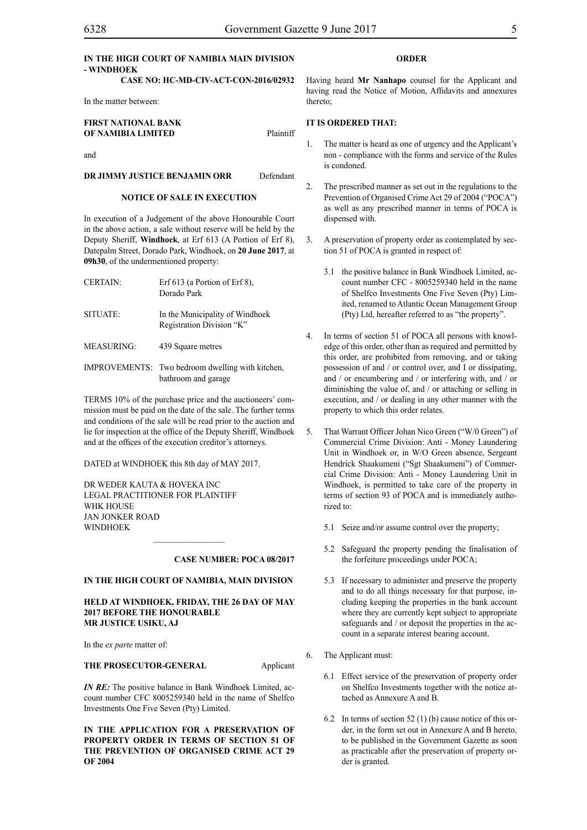#### **IN THE HIGH COURT OF NAMIBIA MAIN DIVISION - WINDHOEK**

#### **CASE NO: HC-MD-CIV-ACT-CON-2016/02932**

In the matter between:

#### **FIRST NATIONAL BANK OF NAMIBIA LIMITED** Plaintiff

and

#### **DR JIMMY JUSTICE BENJAMIN ORR** Defendant

#### **NOTICE OF SALE IN EXECUTION**

In execution of a Judgement of the above Honourable Court in the above action, a sale without reserve will be held by the Deputy Sheriff, **Windhoek**, at Erf 613 (A Portion of Erf 8), Datepalm Street, Dorado Park, Windhoek, on **20 June 2017**, at **09h30**, of the undermentioned property:

| <b>CERTAIN:</b>   | Erf $613$ (a Portion of Erf 8).<br>Dorado Park                          |
|-------------------|-------------------------------------------------------------------------|
| <b>SITUATE:</b>   | In the Municipality of Windhoek<br>Registration Division "K"            |
| <b>MEASURING:</b> | 439 Square metres                                                       |
|                   | IMPROVEMENTS: Two bedroom dwelling with kitchen,<br>bathroom and garage |

TERMS 10% of the purchase price and the auctioneers' commission must be paid on the date of the sale. The further terms and conditions of the sale will be read prior to the auction and lie for inspection at the office of the Deputy Sheriff, Windhoek and at the offices of the execution creditor's attorneys.

DATED at WINDHOEK this 8th day of MAY 2017.

DR WEDER KAUTA & HOVEKA INC Legal Practitioner for Plaintiff WHK HOUSE Jan Jonker Road WINDHOEK

#### **CASE NUMBER: POCA 08/2017**

#### **IN THE HIGH COURT OF NAMIBIA, MAIN DIVISION**

 $\frac{1}{2}$ 

#### **HELD AT WINDHOEK, FRIDAY, THE 26 DAY OF MAY 2017 BEFORE THE HONOURABLE MR JUSTICE USIKU, AJ**

In the *ex parte* matter of:

#### **THE PROSECUTOR-GENERAL** Applicant

*IN RE:* The positive balance in Bank Windhoek Limited, account number CFC 8005259340 held in the name of Shelfco Investments One Five Seven (Pty) Limited.

**IN THE APPLICATION FOR A PRESERVATION OF PROPERTY ORDER IN TERMS OF SECTION 51 OF THE PREVENTION OF ORGANISED CRIME ACT 29 OF 2004**

#### **ORDER**

Having heard **Mr Nanhapo** counsel for the Applicant and having read the Notice of Motion, Affidavits and annexures thereto;

#### **IT IS ORDERED THAT:**

- 1. The matter is heard as one of urgency and the Applicant's non - compliance with the forms and service of the Rules is condoned.
- 2. The prescribed manner as set out in the regulations to the Prevention of Organised Crime Act 29 of 2004 ("POCA") as well as any prescribed manner in terms of POCA is dispensed with.
- 3. A preservation of property order as contemplated by section 51 of POCA is granted in respect of:
	- 3.1 the positive balance in Bank Windhoek Limited, account number CFC - 8005259340 held in the name of Shelfco Investments One Five Seven (Pty) Limited, renamed to Atlantic Ocean Management Group (Pty) Ltd, hereafter referred to as "the property".
- 4. In terms of section 51 of POCA all persons with knowledge of this order, other than as required and permitted by this order, are prohibited from removing, and or taking possession of and / or control over, and I or dissipating, and / or encumbering and / or interfering with, and / or diminishing the value of, and / or attaching or selling in execution, and / or dealing in any other manner with the property to which this order relates.
- 5. That Warrant Officer Johan Nico Green ("W/0 Green") of Commercial Crime Division: Anti - Money Laundering Unit in Windhoek or, in W/O Green absence, Sergeant Hendrick Shaakumeni ("Sgt Shaakumeni") of Commercial Crime Division: Anti - Money Laundering Unit in Windhoek, is permitted to take care of the property in terms of section 93 of POCA and is immediately authorized to:
	- 5.1 Seize and/or assume control over the property;
	- 5.2 Safeguard the property pending the finalisation of the forfeiture proceedings under POCA;
	- 5.3 If necessary to administer and preserve the property and to do all things necessary for that purpose, including keeping the properties in the bank account where they are currently kept subject to appropriate safeguards and / or deposit the properties in the account in a separate interest bearing account.
- 6. The Applicant must:
	- 6.1 Effect service of the preservation of property order on Shelfco Investments together with the notice attached as Annexure A and B.
	- 6.2 In terms of section 52 (1) (b) cause notice of this order, in the form set out in Annexure A and B hereto, to be published in the Government Gazette as soon as practicable after the preservation of property order is granted.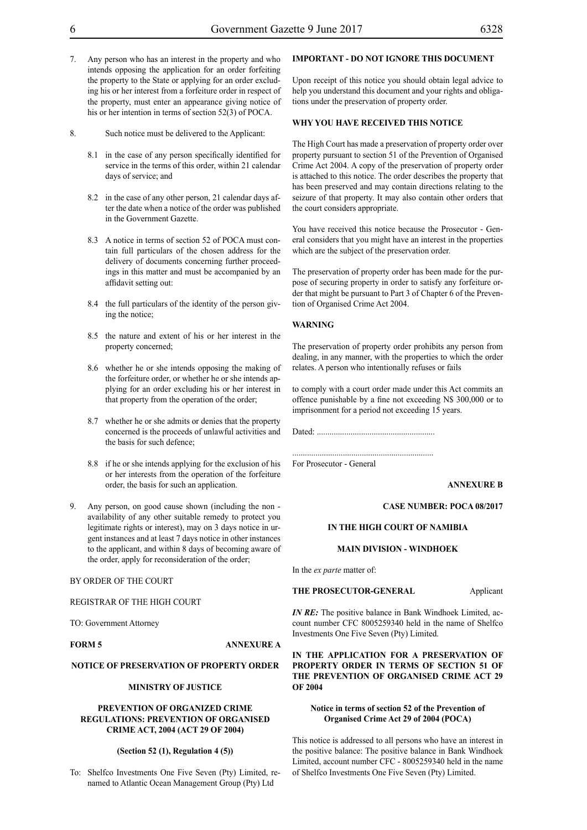- 7. Any person who has an interest in the property and who intends opposing the application for an order forfeiting the property to the State or applying for an order excluding his or her interest from a forfeiture order in respect of the property, must enter an appearance giving notice of his or her intention in terms of section 52(3) of POCA.
- 8. Such notice must be delivered to the Applicant:
	- 8.1 in the case of any person specifically identified for service in the terms of this order, within 21 calendar days of service; and
	- 8.2 in the case of any other person, 21 calendar days after the date when a notice of the order was published in the Government Gazette.
	- 8.3 A notice in terms of section 52 of POCA must contain full particulars of the chosen address for the delivery of documents concerning further proceedings in this matter and must be accompanied by an affidavit setting out:
	- 8.4 the full particulars of the identity of the person giving the notice;
	- 8.5 the nature and extent of his or her interest in the property concerned;
	- 8.6 whether he or she intends opposing the making of the forfeiture order, or whether he or she intends applying for an order excluding his or her interest in that property from the operation of the order;
	- 8.7 whether he or she admits or denies that the property concerned is the proceeds of unlawful activities and the basis for such defence;
	- 8.8 if he or she intends applying for the exclusion of his or her interests from the operation of the forfeiture order, the basis for such an application.
- Any person, on good cause shown (including the non availability of any other suitable remedy to protect you legitimate rights or interest), may on 3 days notice in urgent instances and at least 7 days notice in other instances to the applicant, and within 8 days of becoming aware of the order, apply for reconsideration of the order;

#### BY ORDER OF THE COURT

REGISTRAR OF THE HIGH COURT

TO: Government Attorney

#### **FORM 5 ANNEXURE A**

#### **NOTICE OF PRESERVATION OF PROPERTY ORDER**

#### **MINISTRY OF JUSTICE**

#### **PREVENTION OF ORGANIZED CRIME REGULATIONS: PREVENTION OF ORGANISED CRIME ACT, 2004 (ACT 29 OF 2004)**

#### **(Section 52 (1), Regulation 4 (5))**

To: Shelfco Investments One Five Seven (Pty) Limited, renamed to Atlantic Ocean Management Group (Pty) Ltd

#### **IMPORTANT - DO NOT IGNORE THIS DOCUMENT**

Upon receipt of this notice you should obtain legal advice to help you understand this document and your rights and obligations under the preservation of property order.

#### **WHY YOU HAVE RECEIVED THIS NOTICE**

The High Court has made a preservation of property order over property pursuant to section 51 of the Prevention of Organised Crime Act 2004. A copy of the preservation of property order is attached to this notice. The order describes the property that has been preserved and may contain directions relating to the seizure of that property. It may also contain other orders that the court considers appropriate.

You have received this notice because the Prosecutor - General considers that you might have an interest in the properties which are the subject of the preservation order.

The preservation of property order has been made for the purpose of securing property in order to satisfy any forfeiture order that might be pursuant to Part 3 of Chapter 6 of the Prevention of Organised Crime Act 2004.

#### **WARNING**

The preservation of property order prohibits any person from dealing, in any manner, with the properties to which the order relates. A person who intentionally refuses or fails

to comply with a court order made under this Act commits an offence punishable by a fine not exceeding N\$ 300,000 or to imprisonment for a period not exceeding 15 years.

Dated: ........................................................

...................................................................

For Prosecutor - General

**ANNEXURE B**

#### **CASE NUMBER: POCA 08/2017**

#### **IN THE HIGH COURT OF NAMIBIA**

#### **MAIN DIVISION - WINDHOEK**

In the *ex parte* matter of:

#### **THE PROSECUTOR-GENERAL** Applicant

*IN RE*: The positive balance in Bank Windhoek Limited, account number CFC 8005259340 held in the name of Shelfco Investments One Five Seven (Pty) Limited.

**IN THE APPLICATION FOR A PRESERVATION OF PROPERTY ORDER IN TERMS OF SECTION 51 OF THE PREVENTION OF ORGANISED CRIME ACT 29 OF 2004**

#### **Notice in terms of section 52 of the Prevention of Organised Crime Act 29 of 2004 (POCA)**

This notice is addressed to all persons who have an interest in the positive balance: The positive balance in Bank Windhoek Limited, account number CFC - 8005259340 held in the name of Shelfco Investments One Five Seven (Pty) Limited.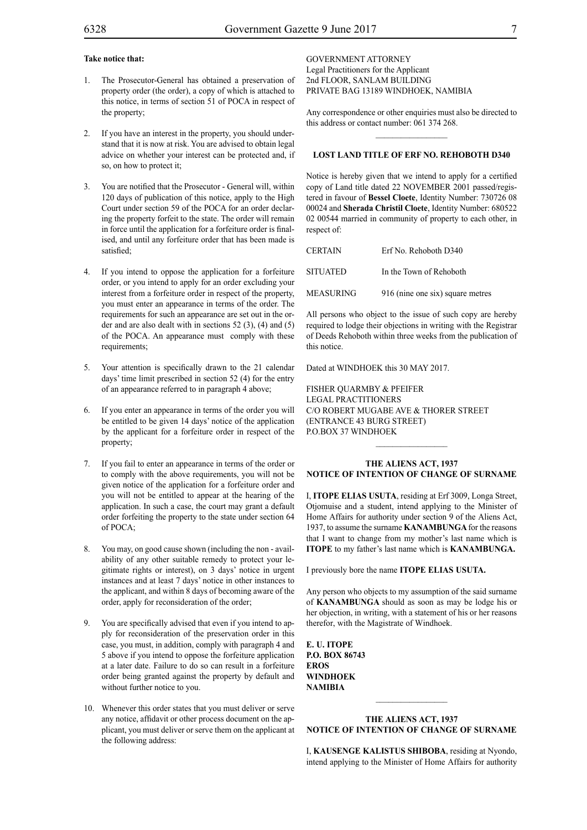#### **Take notice that:**

- 1. The Prosecutor-General has obtained a preservation of property order (the order), a copy of which is attached to this notice, in terms of section 51 of POCA in respect of the property;
- 2. If you have an interest in the property, you should understand that it is now at risk. You are advised to obtain legal advice on whether your interest can be protected and, if so, on how to protect it;
- 3. You are notified that the Prosecutor General will, within 120 days of publication of this notice, apply to the High Court under section 59 of the POCA for an order declaring the property forfeit to the state. The order will remain in force until the application for a forfeiture order is finalised, and until any forfeiture order that has been made is satisfied;
- 4. If you intend to oppose the application for a forfeiture order, or you intend to apply for an order excluding your interest from a forfeiture order in respect of the property, you must enter an appearance in terms of the order. The requirements for such an appearance are set out in the order and are also dealt with in sections 52 (3), (4) and (5) of the POCA. An appearance must comply with these requirements;
- 5. Your attention is specifically drawn to the 21 calendar days' time limit prescribed in section 52 (4) for the entry of an appearance referred to in paragraph 4 above;
- 6. If you enter an appearance in terms of the order you will be entitled to be given 14 days' notice of the application by the applicant for a forfeiture order in respect of the property;
- 7. If you fail to enter an appearance in terms of the order or to comply with the above requirements, you will not be given notice of the application for a forfeiture order and you will not be entitled to appear at the hearing of the application. In such a case, the court may grant a default order forfeiting the property to the state under section 64 of POCA;
- 8. You may, on good cause shown (including the non availability of any other suitable remedy to protect your legitimate rights or interest), on 3 days' notice in urgent instances and at least 7 days' notice in other instances to the applicant, and within 8 days of becoming aware of the order, apply for reconsideration of the order;
- 9. You are specifically advised that even if you intend to apply for reconsideration of the preservation order in this case, you must, in addition, comply with paragraph 4 and 5 above if you intend to oppose the forfeiture application at a later date. Failure to do so can result in a forfeiture order being granted against the property by default and without further notice to you.
- 10. Whenever this order states that you must deliver or serve any notice, affidavit or other process document on the applicant, you must deliver or serve them on the applicant at the following address:

GOVERNMENT ATTORNEY Legal Practitioners for the Applicant 2nd FLOOR, SANLAM BUILDING PRIVATE BAG 13189 WINDHOEK, NAMIBIA

Any correspondence or other enquiries must also be directed to this address or contact number: 061 374 268.  $\frac{1}{2}$ 

#### **LOST LAND TITLE OF ERF NO. REHOBOTH D340**

Notice is hereby given that we intend to apply for a certified copy of Land title dated 22 NOVEMBER 2001 passed/registered in favour of **Bessel Cloete**, Identity Number: 730726 08 00024 and **Sherada Christil Cloete**, Identity Number: 680522 02 00544 married in community of property to each other, in respect of:

| CERTAIN          | Erf No. Rehoboth D340            |
|------------------|----------------------------------|
| <b>SITUATED</b>  | In the Town of Rehoboth          |
| <b>MEASURING</b> | 916 (nine one six) square metres |

All persons who object to the issue of such copy are hereby required to lodge their objections in writing with the Registrar of Deeds Rehoboth within three weeks from the publication of this notice.

Dated at WINDHOEK this 30 MAY 2017.

FISHER QUARMBY & PFEIFER Legal Practitioners c/o Robert Mugabe Ave & Thorer Street (Entrance 43 Burg Street) P.O.BOX 37 Windhoek

#### **THE ALIENS ACT, 1937 NOTICE OF INTENTION OF CHANGE OF SURNAME**

I, **itope elias usuta**, residing at Erf 3009, Longa Street, Otjomuise and a student, intend applying to the Minister of Home Affairs for authority under section 9 of the Aliens Act, 1937, to assume the surname **KANAMBUNGA** for the reasons that I want to change from my mother's last name which is **ITOPE** to my father's last name which is **KANAMBUNGA.**

I previously bore the name **itope elias usuta.**

Any person who objects to my assumption of the said surname of **kanambunga** should as soon as may be lodge his or her objection, in writing, with a statement of his or her reasons therefor, with the Magistrate of Windhoek.

**e. u. itope P.O. BOX 86743 EROS WINDHOEK NAMIBIA**

#### **THE ALIENS ACT, 1937 NOTICE OF INTENTION OF CHANGE OF SURNAME**

 $\frac{1}{2}$ 

I, **kausenge kalistus shiboba**, residing at Nyondo, intend applying to the Minister of Home Affairs for authority